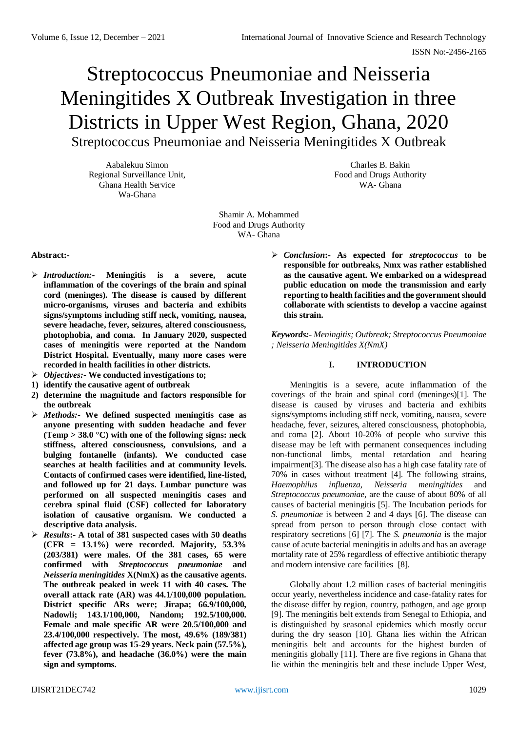# Streptococcus Pneumoniae and Neisseria Meningitides X Outbreak Investigation in three Districts in Upper West Region, Ghana, 2020 Streptococcus Pneumoniae and Neisseria Meningitides X Outbreak

Aabalekuu Simon Regional Surveillance Unit, Ghana Health Service Wa-Ghana

Charles B. Bakin Food and Drugs Authority WA- Ghana

Shamir A. Mohammed Food and Drugs Authority WA- Ghana

# **Abstract:-**

- *Introduction:***- Meningitis is a severe, acute inflammation of the coverings of the brain and spinal cord (meninges). The disease is caused by different micro-organisms, viruses and bacteria and exhibits signs/symptoms including stiff neck, vomiting, nausea, severe headache, fever, seizures, altered consciousness, photophobia, and coma. In January 2020, suspected cases of meningitis were reported at the Nandom District Hospital. Eventually, many more cases were recorded in health facilities in other districts.**
- *Objectives:***- We conducted investigations to;**
- **1) identify the causative agent of outbreak**
- **2) determine the magnitude and factors responsible for the outbreak**
- *Methods:***- We defined suspected meningitis case as anyone presenting with sudden headache and fever (Temp > 38.0 °C) with one of the following signs: neck stiffness, altered consciousness, convulsions, and a bulging fontanelle (infants). We conducted case searches at health facilities and at community levels. Contacts of confirmed cases were identified, line-listed, and followed up for 21 days. Lumbar puncture was performed on all suspected meningitis cases and cerebra spinal fluid (CSF) collected for laboratory isolation of causative organism. We conducted a descriptive data analysis.**
- *Results***:- A total of 381 suspected cases with 50 deaths (CFR = 13.1%) were recorded. Majority, 53.3% (203/381) were males. Of the 381 cases, 65 were confirmed with** *Streptococcus pneumoniae* **and**  *Neisseria meningitides* **X(NmX) as the causative agents. The outbreak peaked in week 11 with 40 cases. The overall attack rate (AR) was 44.1/100,000 population. District specific ARs were; Jirapa; 66.9/100,000, Nadowli; 143.1/100,000, Nandom; 192.5/100,000. Female and male specific AR were 20.5/100,000 and 23.4/100,000 respectively. The most, 49.6% (189/381) affected age group was 15-29 years. Neck pain (57.5%), fever (73.8%), and headache (36.0%) were the main sign and symptoms.**

 *Conclusion***:- As expected for** *streptococcus* **to be responsible for outbreaks, Nmx was rather established as the causative agent. We embarked on a widespread public education on mode the transmission and early reporting to health facilities and the government should collaborate with scientists to develop a vaccine against this strain.** 

*Keywords:- Meningitis; Outbreak; Streptococcus Pneumoniae ; Neisseria Meningitides X(NmX)*

## **I. INTRODUCTION**

Meningitis is a severe, acute inflammation of the coverings of the brain and spinal cord (meninges)[1]. The disease is caused by viruses and bacteria and exhibits signs/symptoms including stiff neck, vomiting, nausea, severe headache, fever, seizures, altered consciousness, photophobia, and coma [2]. About 10-20% of people who survive this disease may be left with permanent consequences including non-functional limbs, mental retardation and hearing impairment[3]. The disease also has a high case fatality rate of 70% in cases without treatment [4]. The following strains, *Haemophilus influenza*, *Neisseria meningitides* and *Streptococcus pneumoniae*, are the cause of about 80% of all causes of bacterial meningitis [5]. The Incubation periods for *S. pneumoniae* is between 2 and 4 days [6]. The disease can spread from person to person through close contact with respiratory secretions [6] [7]. The *S. pneumonia* is the major cause of acute bacterial meningitis in adults and has an average mortality rate of 25% regardless of effective antibiotic therapy and modern intensive care facilities [8].

Globally about 1.2 million cases of bacterial meningitis occur yearly, nevertheless incidence and case-fatality rates for the disease differ by region, country, pathogen, and age group [9]. The meningitis belt extends from Senegal to Ethiopia, and is distinguished by seasonal epidemics which mostly occur during the dry season [10]. Ghana lies within the African meningitis belt and accounts for the highest burden of meningitis globally [11]. There are five regions in Ghana that lie within the meningitis belt and these include Upper West,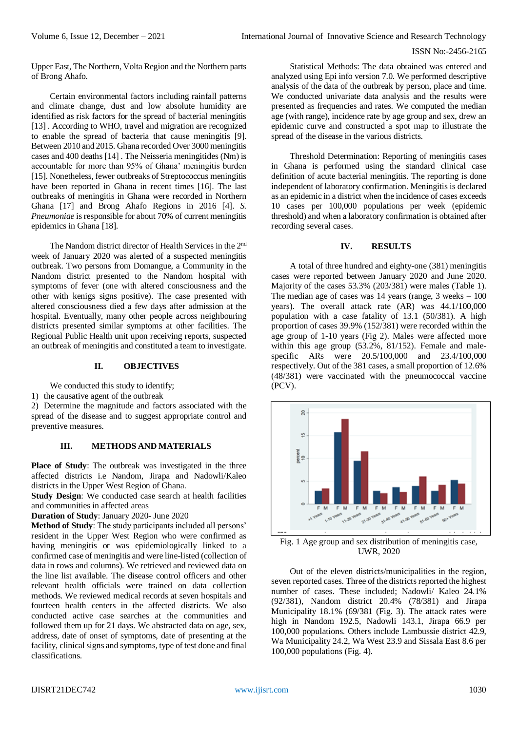Upper East, The Northern, Volta Region and the Northern parts of Brong Ahafo.

Certain environmental factors including rainfall patterns and climate change, dust and low absolute humidity are identified as risk factors for the spread of bacterial meningitis [13]. According to WHO, travel and migration are recognized to enable the spread of bacteria that cause meningitis [9]. Between 2010 and 2015. Ghana recorded Over 3000 meningitis cases and 400 deaths [14] . The Neisseria meningitides (Nm) is accountable for more than 95% of Ghana' meningitis burden [15]. Nonetheless, fewer outbreaks of Streptococcus meningitis have been reported in Ghana in recent times [16]. The last outbreaks of meningitis in Ghana were recorded in Northern Ghana [17] and Brong Ahafo Regions in 2016 [4]. *S. Pneumoniae* is responsible for about 70% of current meningitis epidemics in Ghana [18].

The Nandom district director of Health Services in the 2<sup>nd</sup> week of January 2020 was alerted of a suspected meningitis outbreak. Two persons from Domangue, a Community in the Nandom district presented to the Nandom hospital with symptoms of fever (one with altered consciousness and the other with kenigs signs positive). The case presented with altered consciousness died a few days after admission at the hospital. Eventually, many other people across neighbouring districts presented similar symptoms at other facilities. The Regional Public Health unit upon receiving reports, suspected an outbreak of meningitis and constituted a team to investigate.

# **II. OBJECTIVES**

We conducted this study to identify;

1) the causative agent of the outbreak

2) Determine the magnitude and factors associated with the spread of the disease and to suggest appropriate control and preventive measures.

## **III. METHODS AND MATERIALS**

**Place of Study**: The outbreak was investigated in the three affected districts i.e Nandom, Jirapa and Nadowli/Kaleo districts in the Upper West Region of Ghana.

**Study Design**: We conducted case search at health facilities and communities in affected areas

**Duration of Study**: January 2020- June 2020

**Method of Study**: The study participants included all persons' resident in the Upper West Region who were confirmed as having meningitis or was epidemiologically linked to a confirmed case of meningitis and were line-listed (collection of data in rows and columns). We retrieved and reviewed data on the line list available. The disease control officers and other relevant health officials were trained on data collection methods. We reviewed medical records at seven hospitals and fourteen health centers in the affected districts. We also conducted active case searches at the communities and followed them up for 21 days. We abstracted data on age, sex, address, date of onset of symptoms, date of presenting at the facility, clinical signs and symptoms, type of test done and final classifications.

Statistical Methods: The data obtained was entered and analyzed using Epi info version 7.0. We performed descriptive analysis of the data of the outbreak by person, place and time. We conducted univariate data analysis and the results were presented as frequencies and rates. We computed the median age (with range), incidence rate by age group and sex, drew an epidemic curve and constructed a spot map to illustrate the spread of the disease in the various districts.

Threshold Determination: Reporting of meningitis cases in Ghana is performed using the standard clinical case definition of acute bacterial meningitis. The reporting is done independent of laboratory confirmation. Meningitis is declared as an epidemic in a district when the incidence of cases exceeds 10 cases per 100,000 populations per week (epidemic threshold) and when a laboratory confirmation is obtained after recording several cases.

### **IV. RESULTS**

A total of three hundred and eighty-one (381) meningitis cases were reported between January 2020 and June 2020. Majority of the cases 53.3% (203/381) were males (Table 1). The median age of cases was  $14$  years (range,  $3$  weeks  $-100$ ) years). The overall attack rate (AR) was 44.1/100,000 population with a case fatality of 13.1 (50/381). A high proportion of cases 39.9% (152/381) were recorded within the age group of 1-10 years (Fig 2). Males were affected more within this age group (53.2%, 81/152). Female and malespecific ARs were 20.5/100,000 and 23.4/100,000 respectively. Out of the 381 cases, a small proportion of 12.6% (48/381) were vaccinated with the pneumococcal vaccine (PCV).



Fig. 1 Age group and sex distribution of meningitis case, UWR, 2020

Out of the eleven districts/municipalities in the region, seven reported cases. Three of the districts reported the highest number of cases. These included; Nadowli/ Kaleo 24.1% (92/381), Nandom district 20.4% (78/381) and Jirapa Municipality 18.1% (69/381 (Fig. 3). The attack rates were high in Nandom 192.5, Nadowli 143.1, Jirapa 66.9 per 100,000 populations. Others include Lambussie district 42.9, Wa Municipality 24.2, Wa West 23.9 and Sissala East 8.6 per 100,000 populations (Fig. 4).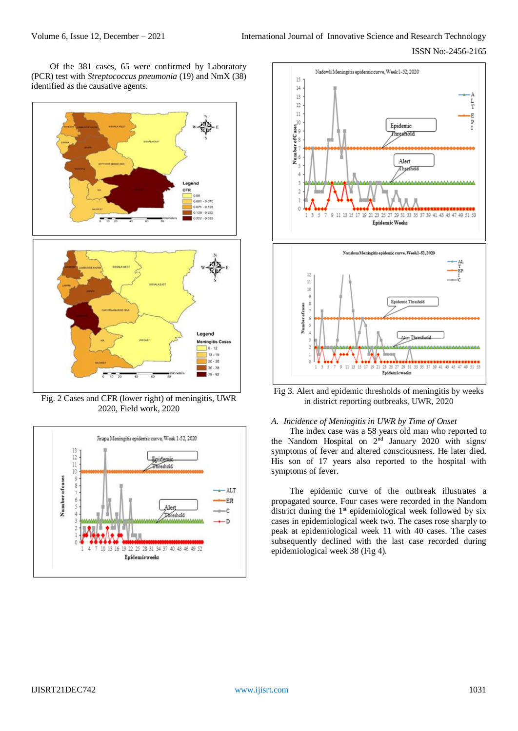Of the 381 cases, 65 were confirmed by Laboratory (PCR) test with *Streptococcus pneumonia* (19) and NmX (38) identified as the causative agents.



Fig. 2 Cases and CFR (lower right) of meningitis, UWR 2020, Field work, 2020





Fig 3. Alert and epidemic thresholds of meningitis by weeks in district reporting outbreaks, UWR, 2020

#### *A. Incidence of Meningitis in UWR by Time of Onset*

The index case was a 58 years old man who reported to the Nandom Hospital on  $2<sup>nd</sup>$  January 2020 with signs/ symptoms of fever and altered consciousness. He later died. His son of 17 years also reported to the hospital with symptoms of fever.

The epidemic curve of the outbreak illustrates a propagated source. Four cases were recorded in the Nandom district during the 1<sup>st</sup> epidemiological week followed by six cases in epidemiological week two. The cases rose sharply to peak at epidemiological week 11 with 40 cases. The cases subsequently declined with the last case recorded during epidemiological week 38 (Fig 4).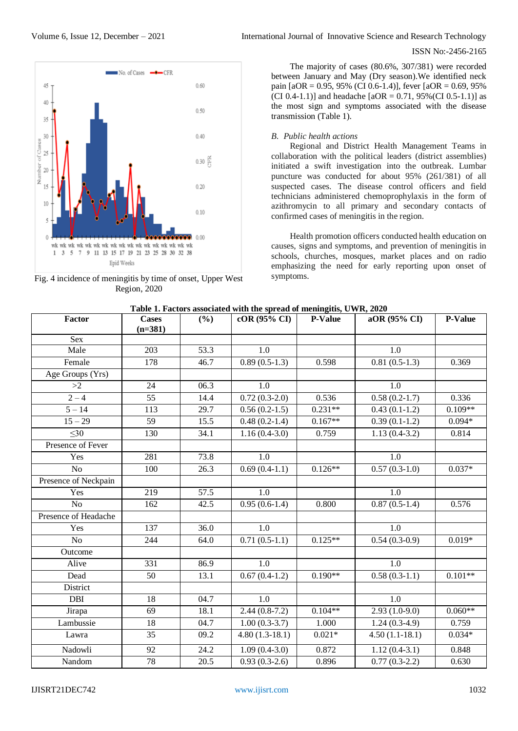

Fig. 4 incidence of meningitis by time of onset, Upper West Region, 2020

Volume 6, Issue 12, December – 2021 International Journal of Innovative Science and Research Technology

ISSN No:-2456-2165

The majority of cases (80.6%, 307/381) were recorded between January and May (Dry season).We identified neck pain [aOR = 0.95, 95% (CI 0.6-1.4)], fever [aOR = 0.69, 95% (CI 0.4-1.1)] and headache  $[aOR = 0.71, 95\%$  (CI 0.5-1.1)] as the most sign and symptoms associated with the disease transmission (Table 1).

## *B. Public health actions*

Regional and District Health Management Teams in collaboration with the political leaders (district assemblies) initiated a swift investigation into the outbreak. Lumbar puncture was conducted for about 95% (261/381) of all suspected cases. The disease control officers and field technicians administered chemoprophylaxis in the form of azithromycin to all primary and secondary contacts of confirmed cases of meningitis in the region.

Health promotion officers conducted health education on causes, signs and symptoms, and prevention of meningitis in schools, churches, mosques, market places and on radio emphasizing the need for early reporting upon onset of symptoms.

| Table 1. Factors associated with the spread of meningitis, UWR, 2020 |  |
|----------------------------------------------------------------------|--|
|----------------------------------------------------------------------|--|

| Factor               | <b>Cases</b>     | (%)               | cOR (95% CI)                | <b>P-Value</b> | aOR (95% CI)     | <b>P-Value</b> |
|----------------------|------------------|-------------------|-----------------------------|----------------|------------------|----------------|
|                      | $(n=381)$        |                   |                             |                |                  |                |
| <b>Sex</b>           |                  |                   |                             |                |                  |                |
| Male                 | 203              | 53.3              | 1.0                         |                | $1.0\,$          |                |
| Female               | 178              | 46.7              | $0.89(0.5-1.3)$             | 0.598          | $0.81(0.5-1.3)$  | 0.369          |
| Age Groups (Yrs)     |                  |                   |                             |                |                  |                |
| >2                   | 24               | 06.3              | 1.0                         |                | 1.0              |                |
| $2 - 4$              | $\overline{55}$  | 14.4              | $\overline{0.72}$ (0.3-2.0) | 0.536          | $0.58(0.2-1.7)$  | 0.336          |
| $\overline{5} - 14$  | 113              | 29.7              | $0.56(0.2-1.5)$             | $0.231**$      | $0.43(0.1-1.2)$  | $0.109**$      |
| $15 - 29$            | 59               | 15.5              | $0.48(0.2-1.4)$             | $0.167**$      | $0.39(0.1-1.2)$  | $0.094*$       |
| $\leq 30$            | 130              | 34.1              | $1.16(0.4-3.0)$             | 0.759          | $1.13(0.4-3.2)$  | 0.814          |
| Presence of Fever    |                  |                   |                             |                |                  |                |
| Yes                  | 281              | 73.8              | 1.0                         |                | 1.0              |                |
| N <sub>o</sub>       | 100              | 26.3              | $0.69(0.4-1.1)$             | $0.126**$      | $0.57(0.3-1.0)$  | $0.037*$       |
| Presence of Neckpain |                  |                   |                             |                |                  |                |
| Yes                  | $\overline{219}$ | $\overline{57.5}$ | 1.0                         |                | 1.0              |                |
| No                   | 162              | 42.5              | $0.95(0.6-1.4)$             | 0.800          | $0.87(0.5-1.4)$  | 0.576          |
| Presence of Headache |                  |                   |                             |                |                  |                |
| Yes                  | 137              | 36.0              | 1.0                         |                | 1.0              |                |
| N <sub>o</sub>       | 244              | 64.0              | $0.71(0.5-1.1)$             | $0.125**$      | $0.54(0.3-0.9)$  | $0.019*$       |
| Outcome              |                  |                   |                             |                |                  |                |
| Alive                | 331              | 86.9              | 1.0                         |                | 1.0              |                |
| Dead                 | 50               | 13.1              | $0.67(0.4-1.2)$             | $0.190**$      | $0.58(0.3-1.1)$  | $0.101**$      |
| District             |                  |                   |                             |                |                  |                |
| DBI                  | 18               | 04.7              | 1.0                         |                | 1.0              |                |
| Jirapa               | 69               | 18.1              | $2.44(0.8-7.2)$             | $0.104**$      | $2.93(1.0-9.0)$  | $0.060**$      |
| Lambussie            | 18               | 04.7              | $1.00(0.3-3.7)$             | 1.000          | $1.24(0.3-4.9)$  | 0.759          |
| Lawra                | 35               | 09.2              | $4.80(1.3-18.1)$            | $0.021*$       | $4.50(1.1-18.1)$ | $0.034*$       |
| Nadowli              | 92               | 24.2              | $1.09(0.4-3.0)$             | 0.872          | $1.12(0.4-3.1)$  | 0.848          |
| Nandom               | 78               | 20.5              | $0.93(0.3-2.6)$             | 0.896          | $0.77(0.3-2.2)$  | 0.630          |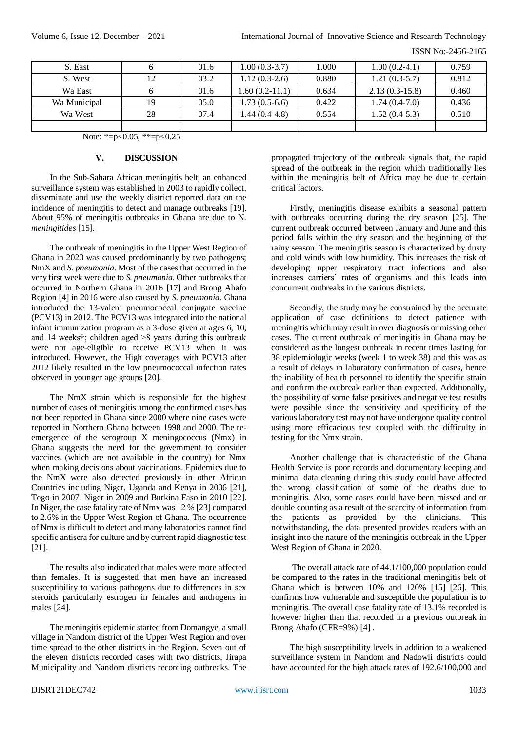| S. East      |    | 01.6 | $1.00(0.3-3.7)$ | 1.000 | $1.00(0.2-4.1)$  | 0.759 |
|--------------|----|------|-----------------|-------|------------------|-------|
| S. West      |    | 03.2 | $1.12(0.3-2.6)$ | 0.880 | $1.21(0.3-5.7)$  | 0.812 |
| Wa East      |    | 01.6 | 1.60 (0.2-11.1) | 0.634 | $2.13(0.3-15.8)$ | 0.460 |
| Wa Municipal | 19 | 05.0 | $1.73(0.5-6.6)$ | 0.422 | $1.74(0.4-7.0)$  | 0.436 |
| Wa West      | 28 | 07.4 | 1.44 (0.4-4.8)  | 0.554 | $1.52(0.4-5.3)$  | 0.510 |
|              |    |      |                 |       |                  |       |

ISSN No:-2456-2165

Note: \*=p<0.05, \*\*=p<0.25

#### **V. DISCUSSION**

In the Sub-Sahara African meningitis belt, an enhanced surveillance system was established in 2003 to rapidly collect, disseminate and use the weekly district reported data on the incidence of meningitis to detect and manage outbreaks [19]. About 95% of meningitis outbreaks in Ghana are due to N. *meningitides* [15].

The outbreak of meningitis in the Upper West Region of Ghana in 2020 was caused predominantly by two pathogens; NmX and *S. pneumonia*. Most of the cases that occurred in the very first week were due to *S. pneumonia*. Other outbreaks that occurred in Northern Ghana in 2016 [17] and Brong Ahafo Region [4] in 2016 were also caused by *S. pneumonia*. Ghana introduced the 13-valent pneumococcal conjugate vaccine (PCV13) in 2012. The PCV13 was integrated into the national infant immunization program as a 3-dose given at ages 6, 10, and 14 weeks†; children aged >8 years during this outbreak were not age-eligible to receive PCV13 when it was introduced. However, the High coverages with PCV13 after 2012 likely resulted in the low pneumococcal infection rates observed in younger age groups [20].

The NmX strain which is responsible for the highest number of cases of meningitis among the confirmed cases has not been reported in Ghana since 2000 where nine cases were reported in Northern Ghana between 1998 and 2000. The reemergence of the serogroup X meningococcus (Nmx) in Ghana suggests the need for the government to consider vaccines (which are not available in the country) for Nmx when making decisions about vaccinations. Epidemics due to the NmX were also detected previously in other African Countries including Niger, Uganda and Kenya in 2006 [21], Togo in 2007, Niger in 2009 and Burkina Faso in 2010 [22]. In Niger, the case fatality rate of Nmx was 12 % [23] compared to 2.6% in the Upper West Region of Ghana. The occurrence of Nmx is difficult to detect and many laboratories cannot find specific antisera for culture and by current rapid diagnostic test [21].

The results also indicated that males were more affected than females. It is suggested that men have an increased susceptibility to various pathogens due to differences in sex steroids particularly estrogen in females and androgens in males [24].

The meningitis epidemic started from Domangye, a small village in Nandom district of the Upper West Region and over time spread to the other districts in the Region. Seven out of the eleven districts recorded cases with two districts, Jirapa Municipality and Nandom districts recording outbreaks. The propagated trajectory of the outbreak signals that, the rapid spread of the outbreak in the region which traditionally lies within the meningitis belt of Africa may be due to certain critical factors.

Firstly, meningitis disease exhibits a seasonal pattern with outbreaks occurring during the dry season [25]. The current outbreak occurred between January and June and this period falls within the dry season and the beginning of the rainy season. The meningitis season is characterized by dusty and cold winds with low humidity. This increases the risk of developing upper respiratory tract infections and also increases carriers' rates of organisms and this leads into concurrent outbreaks in the various districts.

Secondly, the study may be constrained by the accurate application of case definitions to detect patience with meningitis which may result in over diagnosis or missing other cases. The current outbreak of meningitis in Ghana may be considered as the longest outbreak in recent times lasting for 38 epidemiologic weeks (week 1 to week 38) and this was as a result of delays in laboratory confirmation of cases, hence the inability of health personnel to identify the specific strain and confirm the outbreak earlier than expected. Additionally, the possibility of some false positives and negative test results were possible since the sensitivity and specificity of the various laboratory test may not have undergone quality control using more efficacious test coupled with the difficulty in testing for the Nmx strain.

Another challenge that is characteristic of the Ghana Health Service is poor records and documentary keeping and minimal data cleaning during this study could have affected the wrong classification of some of the deaths due to meningitis. Also, some cases could have been missed and or double counting as a result of the scarcity of information from the patients as provided by the clinicians. This notwithstanding, the data presented provides readers with an insight into the nature of the meningitis outbreak in the Upper West Region of Ghana in 2020.

The overall attack rate of 44.1/100,000 population could be compared to the rates in the traditional meningitis belt of Ghana which is between 10% and 120% [15] [26]. This confirms how vulnerable and susceptible the population is to meningitis. The overall case fatality rate of 13.1% recorded is however higher than that recorded in a previous outbreak in Brong Ahafo (CFR=9%) [4] .

The high susceptibility levels in addition to a weakened surveillance system in Nandom and Nadowli districts could have accounted for the high attack rates of 192.6/100,000 and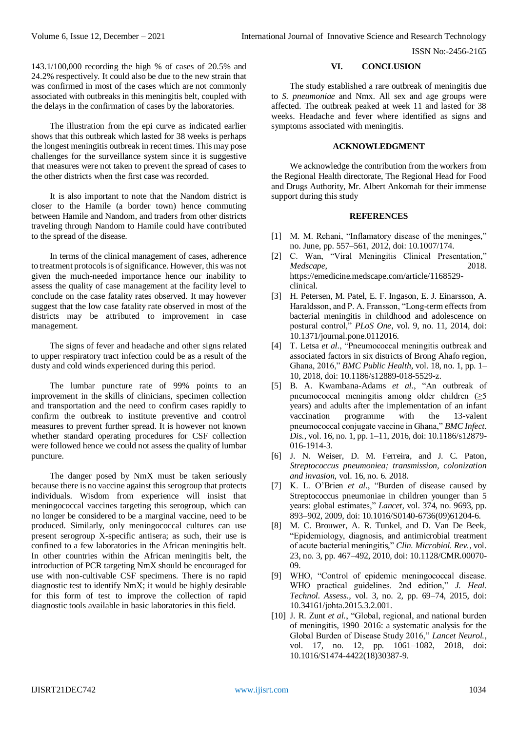143.1/100,000 recording the high % of cases of 20.5% and 24.2% respectively. It could also be due to the new strain that was confirmed in most of the cases which are not commonly associated with outbreaks in this meningitis belt, coupled with the delays in the confirmation of cases by the laboratories.

The illustration from the epi curve as indicated earlier shows that this outbreak which lasted for 38 weeks is perhaps the longest meningitis outbreak in recent times. This may pose challenges for the surveillance system since it is suggestive that measures were not taken to prevent the spread of cases to the other districts when the first case was recorded.

It is also important to note that the Nandom district is closer to the Hamile (a border town) hence commuting between Hamile and Nandom, and traders from other districts traveling through Nandom to Hamile could have contributed to the spread of the disease.

In terms of the clinical management of cases, adherence to treatment protocols is of significance. However, this was not given the much-needed importance hence our inability to assess the quality of case management at the facility level to conclude on the case fatality rates observed. It may however suggest that the low case fatality rate observed in most of the districts may be attributed to improvement in case management.

The signs of fever and headache and other signs related to upper respiratory tract infection could be as a result of the dusty and cold winds experienced during this period.

The lumbar puncture rate of 99% points to an improvement in the skills of clinicians, specimen collection and transportation and the need to confirm cases rapidly to confirm the outbreak to institute preventive and control measures to prevent further spread. It is however not known whether standard operating procedures for CSF collection were followed hence we could not assess the quality of lumbar puncture.

The danger posed by NmX must be taken seriously because there is no vaccine against this serogroup that protects individuals. Wisdom from experience will insist that meningococcal vaccines targeting this serogroup, which can no longer be considered to be a marginal vaccine, need to be produced. Similarly, only meningococcal cultures can use present serogroup X-specific antisera; as such, their use is confined to a few laboratories in the African meningitis belt. In other countries within the African meningitis belt, the introduction of PCR targeting NmX should be encouraged for use with non-cultivable CSF specimens. There is no rapid diagnostic test to identify NmX; it would be highly desirable for this form of test to improve the collection of rapid diagnostic tools available in basic laboratories in this field.

## **VI. CONCLUSION**

The study established a rare outbreak of meningitis due to *S. pneumoniae* and Nmx. All sex and age groups were affected. The outbreak peaked at week 11 and lasted for 38 weeks. Headache and fever where identified as signs and symptoms associated with meningitis.

## **ACKNOWLEDGMENT**

We acknowledge the contribution from the workers from the Regional Health directorate, The Regional Head for Food and Drugs Authority, Mr. Albert Ankomah for their immense support during this study

#### **REFERENCES**

- [1] M. M. Rehani, "Inflamatory disease of the meninges," no. June, pp. 557–561, 2012, doi: 10.1007/174.
- [2] C. Wan, "Viral Meningitis Clinical Presentation," *Medscape*, 2018. https://emedicine.medscape.com/article/1168529 clinical.
- [3] H. Petersen, M. Patel, E. F. Ingason, E. J. Einarsson, A. Haraldsson, and P. A. Fransson, "Long-term effects from bacterial meningitis in childhood and adolescence on postural control," *PLoS One*, vol. 9, no. 11, 2014, doi: 10.1371/journal.pone.0112016.
- [4] T. Letsa *et al.*, "Pneumococcal meningitis outbreak and associated factors in six districts of Brong Ahafo region, Ghana, 2016," *BMC Public Health*, vol. 18, no. 1, pp. 1– 10, 2018, doi: 10.1186/s12889-018-5529-z.
- [5] B. A. Kwambana-Adams *et al.*, "An outbreak of pneumococcal meningitis among older children  $(\geq 5)$ years) and adults after the implementation of an infant vaccination programme with the 13-valent pneumococcal conjugate vaccine in Ghana," *BMC Infect. Dis.*, vol. 16, no. 1, pp. 1–11, 2016, doi: 10.1186/s12879- 016-1914-3.
- [6] J. N. Weiser, D. M. Ferreira, and J. C. Paton, *Streptococcus pneumoniea; transmission, colonization and invasion*, vol. 16, no. 6. 2018.
- [7] K. L. O'Brien *et al.*, "Burden of disease caused by Streptococcus pneumoniae in children younger than 5 years: global estimates," *Lancet*, vol. 374, no. 9693, pp. 893–902, 2009, doi: 10.1016/S0140-6736(09)61204-6.
- [8] M. C. Brouwer, A. R. Tunkel, and D. Van De Beek, "Epidemiology, diagnosis, and antimicrobial treatment of acute bacterial meningitis," *Clin. Microbiol. Rev.*, vol. 23, no. 3, pp. 467–492, 2010, doi: 10.1128/CMR.00070- 09.
- [9] WHO, "Control of epidemic meningococcal disease. WHO practical guidelines. 2nd edition," *J. Heal. Technol. Assess.*, vol. 3, no. 2, pp. 69–74, 2015, doi: 10.34161/johta.2015.3.2.001.
- [10] J. R. Zunt *et al.*, "Global, regional, and national burden of meningitis, 1990–2016: a systematic analysis for the Global Burden of Disease Study 2016," *Lancet Neurol.*, vol. 17, no. 12, pp. 1061–1082, 2018, doi: 10.1016/S1474-4422(18)30387-9.